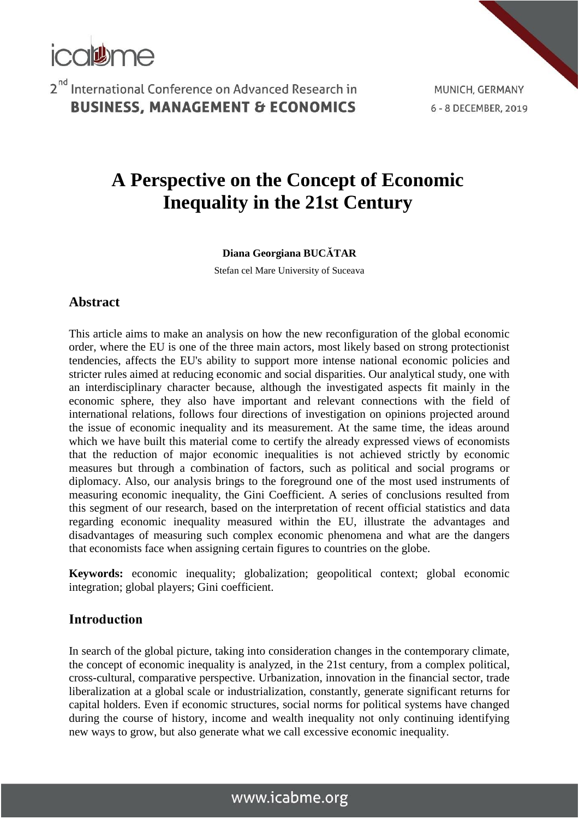

MUNICH, GERMANY 6 - 8 DECEMBER, 2019

# **A Perspective on the Concept of Economic Inequality in the 21st Century**

#### **Diana Georgiana BUCĂTAR**

Stefan cel Mare University of Suceava

#### **Abstract**

This article aims to make an analysis on how the new reconfiguration of the global economic order, where the EU is one of the three main actors, most likely based on strong protectionist tendencies, affects the EU's ability to support more intense national economic policies and stricter rules aimed at reducing economic and social disparities. Our analytical study, one with an interdisciplinary character because, although the investigated aspects fit mainly in the economic sphere, they also have important and relevant connections with the field of international relations, follows four directions of investigation on opinions projected around the issue of economic inequality and its measurement. At the same time, the ideas around which we have built this material come to certify the already expressed views of economists that the reduction of major economic inequalities is not achieved strictly by economic measures but through a combination of factors, such as political and social programs or diplomacy. Also, our analysis brings to the foreground one of the most used instruments of measuring economic inequality, the Gini Coefficient. A series of conclusions resulted from this segment of our research, based on the interpretation of recent official statistics and data regarding economic inequality measured within the EU, illustrate the advantages and disadvantages of measuring such complex economic phenomena and what are the dangers that economists face when assigning certain figures to countries on the globe.

**Keywords:** economic inequality; globalization; geopolitical context; global economic integration; global players; Gini coefficient.

#### **Introduction**

In search of the global picture, taking into consideration changes in the contemporary climate, the concept of economic inequality is analyzed, in the 21st century, from a complex political, cross-cultural, comparative perspective. Urbanization, innovation in the financial sector, trade liberalization at a global scale or industrialization, constantly, generate significant returns for capital holders. Even if economic structures, social norms for political systems have changed during the course of history, income and wealth inequality not only continuing identifying new ways to grow, but also generate what we call excessive economic inequality.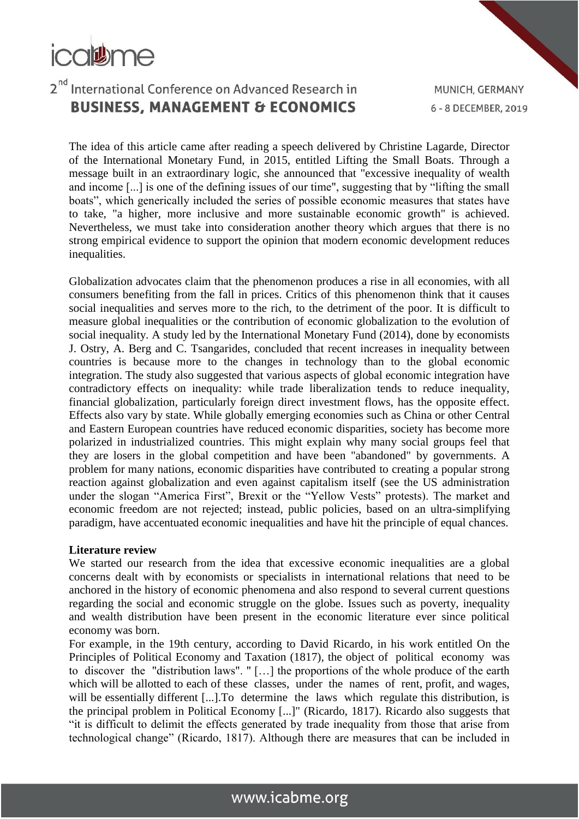

The idea of this article came after reading a speech delivered by Christine Lagarde, Director of the International Monetary Fund, in 2015, entitled Lifting the Small Boats. Through a message built in an extraordinary logic, she announced that "excessive inequality of wealth and income [...] is one of the defining issues of our time", suggesting that by "lifting the small boats", which generically included the series of possible economic measures that states have to take, "a higher, more inclusive and more sustainable economic growth" is achieved. Nevertheless, we must take into consideration another theory which argues that there is no strong empirical evidence to support the opinion that modern economic development reduces inequalities.

Globalization advocates claim that the phenomenon produces a rise in all economies, with all consumers benefiting from the fall in prices. Critics of this phenomenon think that it causes social inequalities and serves more to the rich, to the detriment of the poor. It is difficult to measure global inequalities or the contribution of economic globalization to the evolution of social inequality. A study led by the International Monetary Fund (2014), done by economists J. Ostry, A. Berg and C. Tsangarides, concluded that recent increases in inequality between countries is because more to the changes in technology than to the global economic integration. The study also suggested that various aspects of global economic integration have contradictory effects on inequality: while trade liberalization tends to reduce inequality, financial globalization, particularly foreign direct investment flows, has the opposite effect. Effects also vary by state. While globally emerging economies such as China or other Central and Eastern European countries have reduced economic disparities, society has become more polarized in industrialized countries. This might explain why many social groups feel that they are losers in the global competition and have been "abandoned" by governments. A problem for many nations, economic disparities have contributed to creating a popular strong reaction against globalization and even against capitalism itself (see the US administration under the slogan "America First", Brexit or the "Yellow Vests" protests). The market and economic freedom are not rejected; instead, public policies, based on an ultra-simplifying paradigm, have accentuated economic inequalities and have hit the principle of equal chances.

#### **Literature review**

We started our research from the idea that excessive economic inequalities are a global concerns dealt with by economists or specialists in international relations that need to be anchored in the history of economic phenomena and also respond to several current questions regarding the social and economic struggle on the globe. Issues such as poverty, inequality and wealth distribution have been present in the economic literature ever since political economy was born.

For example, in the 19th century, according to David Ricardo, in his work entitled On the Principles of Political Economy and Taxation (1817), the object of political economy was to discover the "distribution laws". " […] the proportions of the whole produce of the earth which will be allotted to each of these classes, under the names of rent, profit, and wages, will be essentially different [...]. To determine the laws which regulate this distribution, is the principal problem in Political Economy [...]" (Ricardo, 1817). Ricardo also suggests that "it is difficult to delimit the effects generated by trade inequality from those that arise from technological change" (Ricardo, 1817). Although there are measures that can be included in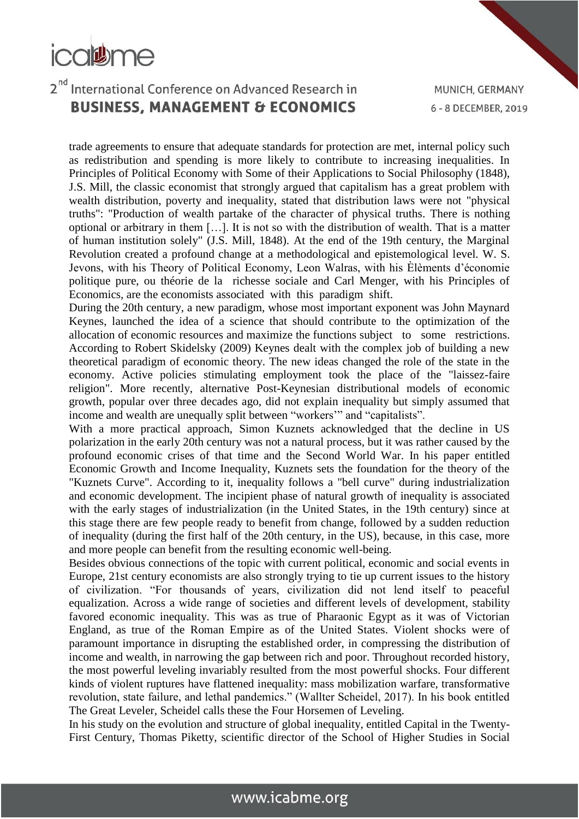

trade agreements to ensure that adequate standards for protection are met, internal policy such as redistribution and spending is more likely to contribute to increasing inequalities. In Principles of Political Economy with Some of their Applications to Social Philosophy (1848), J.S. Mill, the classic economist that strongly argued that capitalism has a great problem with wealth distribution, poverty and inequality, stated that distribution laws were not "physical truths": "Production of wealth partake of the character of physical truths. There is nothing optional or arbitrary in them […]. It is not so with the distribution of wealth. That is a matter of human institution solely" (J.S. Mill, 1848). At the end of the 19th century, the Marginal Revolution created a profound change at a methodological and epistemological level. W. S. Jevons, with his Theory of Political Economy, Leon Walras, with his Èlèments d'économie politique pure, ou théorie de la richesse sociale and Carl Menger, with his Principles of Economics, are the economists associated with this paradigm shift.

During the 20th century, a new paradigm, whose most important exponent was John Maynard Keynes, launched the idea of a science that should contribute to the optimization of the allocation of economic resources and maximize the functions subject to some restrictions. According to Robert Skidelsky (2009) Keynes dealt with the complex job of building a new theoretical paradigm of economic theory. The new ideas changed the role of the state in the economy. Active policies stimulating employment took the place of the "laissez-faire religion". More recently, alternative Post-Keynesian distributional models of economic growth, popular over three decades ago, did not explain inequality but simply assumed that income and wealth are unequally split between "workers'" and "capitalists".

With a more practical approach, Simon Kuznets acknowledged that the decline in US polarization in the early 20th century was not a natural process, but it was rather caused by the profound economic crises of that time and the Second World War. In his paper entitled Economic Growth and Income Inequality, Kuznets sets the foundation for the theory of the "Kuznets Curve". According to it, inequality follows a "bell curve" during industrialization and economic development. The incipient phase of natural growth of inequality is associated with the early stages of industrialization (in the United States, in the 19th century) since at this stage there are few people ready to benefit from change, followed by a sudden reduction of inequality (during the first half of the 20th century, in the US), because, in this case, more and more people can benefit from the resulting economic well-being.

Besides obvious connections of the topic with current political, economic and social events in Europe, 21st century economists are also strongly trying to tie up current issues to the history of civilization. "For thousands of years, civilization did not lend itself to peaceful equalization. Across a wide range of societies and different levels of development, stability favored economic inequality. This was as true of Pharaonic Egypt as it was of Victorian England, as true of the Roman Empire as of the United States. Violent shocks were of paramount importance in disrupting the established order, in compressing the distribution of income and wealth, in narrowing the gap between rich and poor. Throughout recorded history, the most powerful leveling invariably resulted from the most powerful shocks. Four different kinds of violent ruptures have flattened inequality: mass mobilization warfare, transformative revolution, state failure, and lethal pandemics." (Wallter Scheidel, 2017). In his book entitled The Great Leveler, Scheidel calls these the Four Horsemen of Leveling.

In his study on the evolution and structure of global inequality, entitled Capital in the Twenty-First Century, Thomas Piketty, scientific director of the School of Higher Studies in Social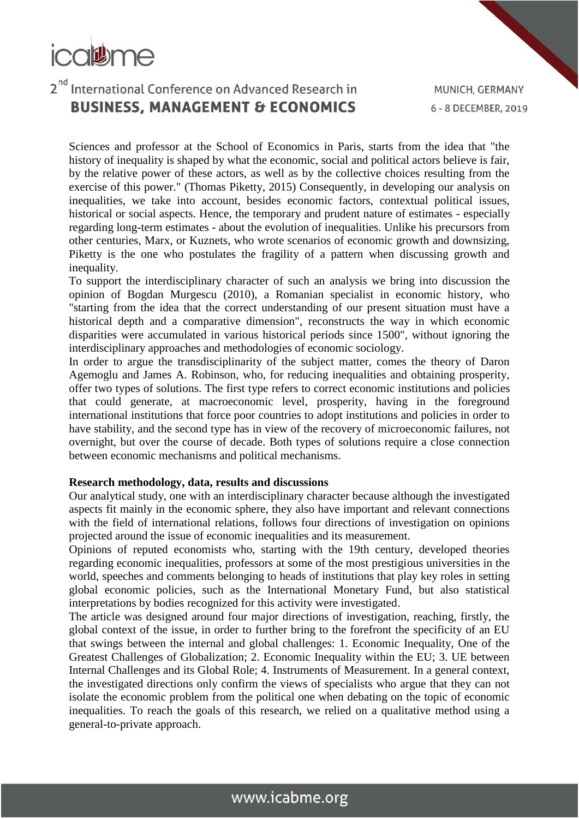

Sciences and professor at the School of Economics in Paris, starts from the idea that "the history of inequality is shaped by what the economic, social and political actors believe is fair, by the relative power of these actors, as well as by the collective choices resulting from the exercise of this power." (Thomas Piketty, 2015) Consequently, in developing our analysis on inequalities, we take into account, besides economic factors, contextual political issues, historical or social aspects. Hence, the temporary and prudent nature of estimates - especially regarding long-term estimates - about the evolution of inequalities. Unlike his precursors from other centuries, Marx, or Kuznets, who wrote scenarios of economic growth and downsizing, Piketty is the one who postulates the fragility of a pattern when discussing growth and inequality.

To support the interdisciplinary character of such an analysis we bring into discussion the opinion of Bogdan Murgescu (2010), a Romanian specialist in economic history, who "starting from the idea that the correct understanding of our present situation must have a historical depth and a comparative dimension", reconstructs the way in which economic disparities were accumulated in various historical periods since 1500", without ignoring the interdisciplinary approaches and methodologies of economic sociology.

In order to argue the transdisciplinarity of the subject matter, comes the theory of Daron Agemoglu and James A. Robinson, who, for reducing inequalities and obtaining prosperity, offer two types of solutions. The first type refers to correct economic institutions and policies that could generate, at macroeconomic level, prosperity, having in the foreground international institutions that force poor countries to adopt institutions and policies in order to have stability, and the second type has in view of the recovery of microeconomic failures, not overnight, but over the course of decade. Both types of solutions require a close connection between economic mechanisms and political mechanisms.

#### **Research methodology, data, results and discussions**

Our analytical study, one with an interdisciplinary character because although the investigated aspects fit mainly in the economic sphere, they also have important and relevant connections with the field of international relations, follows four directions of investigation on opinions projected around the issue of economic inequalities and its measurement.

Opinions of reputed economists who, starting with the 19th century, developed theories regarding economic inequalities, professors at some of the most prestigious universities in the world, speeches and comments belonging to heads of institutions that play key roles in setting global economic policies, such as the International Monetary Fund, but also statistical interpretations by bodies recognized for this activity were investigated.

The article was designed around four major directions of investigation, reaching, firstly, the global context of the issue, in order to further bring to the forefront the specificity of an EU that swings between the internal and global challenges: 1. Economic Inequality, One of the Greatest Challenges of Globalization; 2. Economic Inequality within the EU; 3. UE between Internal Challenges and its Global Role; 4. Instruments of Measurement. In a general context, the investigated directions only confirm the views of specialists who argue that they can not isolate the economic problem from the political one when debating on the topic of economic inequalities. To reach the goals of this research, we relied on a qualitative method using a general-to-private approach.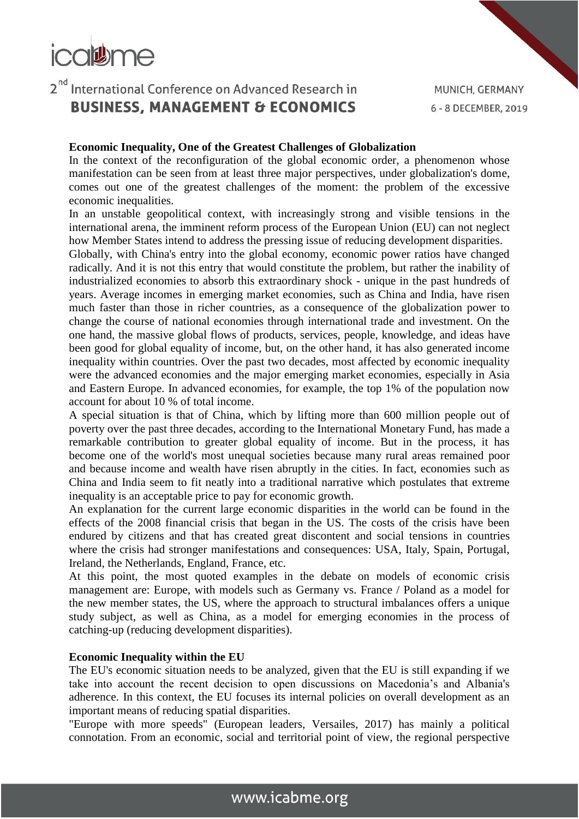

MUNICH, GERMANY 6 - 8 DECEMBER, 2019

#### **Economic Inequality, One of the Greatest Challenges of Globalization**

In the context of the reconfiguration of the global economic order, a phenomenon whose manifestation can be seen from at least three major perspectives, under globalization's dome, comes out one of the greatest challenges of the moment: the problem of the excessive economic inequalities.

In an unstable geopolitical context, with increasingly strong and visible tensions in the international arena, the imminent reform process of the European Union (EU) can not neglect how Member States intend to address the pressing issue of reducing development disparities.

Globally, with China's entry into the global economy, economic power ratios have changed radically. And it is not this entry that would constitute the problem, but rather the inability of industrialized economies to absorb this extraordinary shock - unique in the past hundreds of years. Average incomes in emerging market economies, such as China and India, have risen much faster than those in richer countries, as a consequence of the globalization power to change the course of national economies through international trade and investment. On the one hand, the massive global flows of products, services, people, knowledge, and ideas have been good for global equality of income, but, on the other hand, it has also generated income inequality within countries. Over the past two decades, most affected by economic inequality were the advanced economies and the major emerging market economies, especially in Asia and Eastern Europe. In advanced economies, for example, the top 1% of the population now account for about 10 % of total income.

A special situation is that of China, which by lifting more than 600 million people out of poverty over the past three decades, according to the International Monetary Fund, has made a remarkable contribution to greater global equality of income. But in the process, it has become one of the world's most unequal societies because many rural areas remained poor and because income and wealth have risen abruptly in the cities. In fact, economies such as China and India seem to fit neatly into a traditional narrative which postulates that extreme inequality is an acceptable price to pay for economic growth.

An explanation for the current large economic disparities in the world can be found in the effects of the 2008 financial crisis that began in the US. The costs of the crisis have been endured by citizens and that has created great discontent and social tensions in countries where the crisis had stronger manifestations and consequences: USA, Italy, Spain, Portugal, Ireland, the Netherlands, England, France, etc.

At this point, the most quoted examples in the debate on models of economic crisis management are: Europe, with models such as Germany vs. France / Poland as a model for the new member states, the US, where the approach to structural imbalances offers a unique study subject, as well as China, as a model for emerging economies in the process of catching-up (reducing development disparities).

#### **Economic Inequality within the EU**

The EU's economic situation needs to be analyzed, given that the EU is still expanding if we take into account the recent decision to open discussions on Macedonia's and Albania's adherence. In this context, the EU focuses its internal policies on overall development as an important means of reducing spatial disparities.

"Europe with more speeds" (European leaders, Versailes, 2017) has mainly a political connotation. From an economic, social and territorial point of view, the regional perspective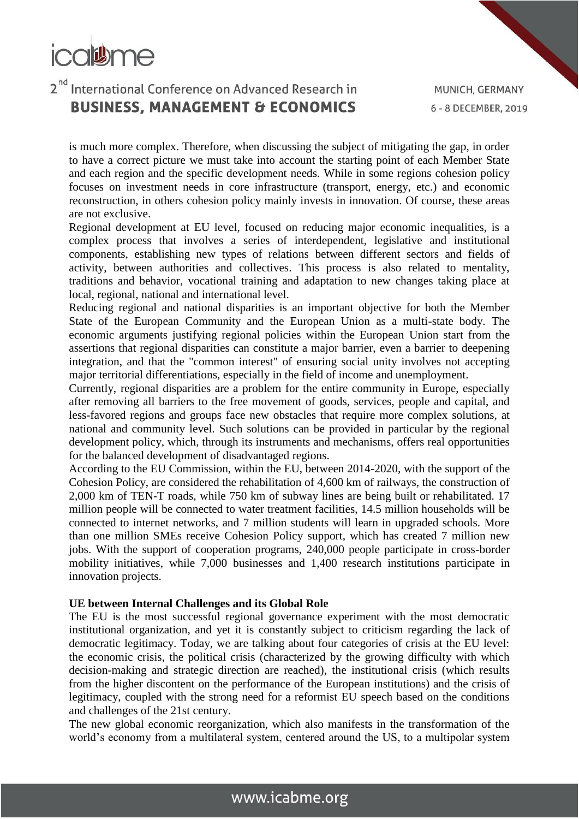

is much more complex. Therefore, when discussing the subject of mitigating the gap, in order to have a correct picture we must take into account the starting point of each Member State and each region and the specific development needs. While in some regions cohesion policy focuses on investment needs in core infrastructure (transport, energy, etc.) and economic reconstruction, in others cohesion policy mainly invests in innovation. Of course, these areas are not exclusive.

Regional development at EU level, focused on reducing major economic inequalities, is a complex process that involves a series of interdependent, legislative and institutional components, establishing new types of relations between different sectors and fields of activity, between authorities and collectives. This process is also related to mentality, traditions and behavior, vocational training and adaptation to new changes taking place at local, regional, national and international level.

Reducing regional and national disparities is an important objective for both the Member State of the European Community and the European Union as a multi-state body. The economic arguments justifying regional policies within the European Union start from the assertions that regional disparities can constitute a major barrier, even a barrier to deepening integration, and that the "common interest" of ensuring social unity involves not accepting major territorial differentiations, especially in the field of income and unemployment.

Currently, regional disparities are a problem for the entire community in Europe, especially after removing all barriers to the free movement of goods, services, people and capital, and less-favored regions and groups face new obstacles that require more complex solutions, at national and community level. Such solutions can be provided in particular by the regional development policy, which, through its instruments and mechanisms, offers real opportunities for the balanced development of disadvantaged regions.

According to the EU Commission, within the EU, between 2014-2020, with the support of the Cohesion Policy, are considered the rehabilitation of 4,600 km of railways, the construction of 2,000 km of TEN-T roads, while 750 km of subway lines are being built or rehabilitated. 17 million people will be connected to water treatment facilities, 14.5 million households will be connected to internet networks, and 7 million students will learn in upgraded schools. More than one million SMEs receive Cohesion Policy support, which has created 7 million new jobs. With the support of cooperation programs, 240,000 people participate in cross-border mobility initiatives, while 7,000 businesses and 1,400 research institutions participate in innovation projects.

#### **UE between Internal Challenges and its Global Role**

The EU is the most successful regional governance experiment with the most democratic institutional organization, and yet it is constantly subject to criticism regarding the lack of democratic legitimacy. Today, we are talking about four categories of crisis at the EU level: the economic crisis, the political crisis (characterized by the growing difficulty with which decision-making and strategic direction are reached), the institutional crisis (which results from the higher discontent on the performance of the European institutions) and the crisis of legitimacy, coupled with the strong need for a reformist EU speech based on the conditions and challenges of the 21st century.

The new global economic reorganization, which also manifests in the transformation of the world's economy from a multilateral system, centered around the US, to a multipolar system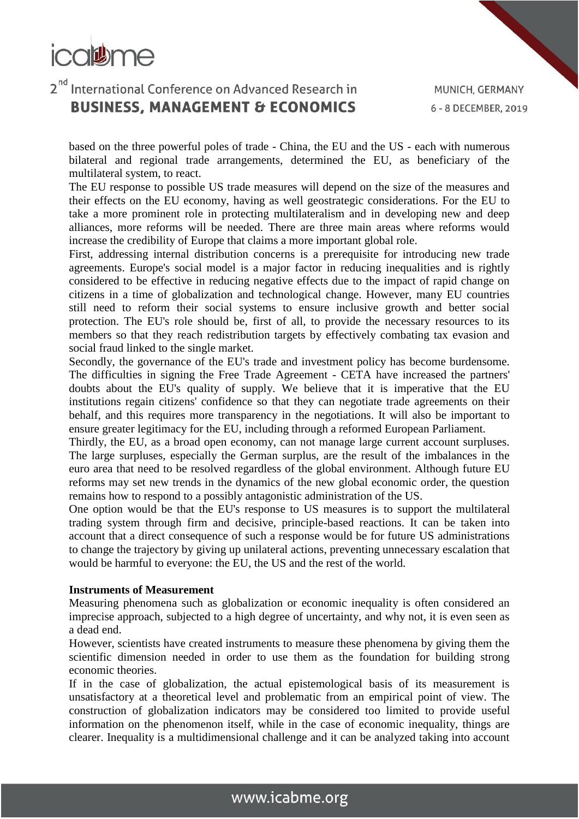

based on the three powerful poles of trade - China, the EU and the US - each with numerous bilateral and regional trade arrangements, determined the EU, as beneficiary of the multilateral system, to react.

The EU response to possible US trade measures will depend on the size of the measures and their effects on the EU economy, having as well geostrategic considerations. For the EU to take a more prominent role in protecting multilateralism and in developing new and deep alliances, more reforms will be needed. There are three main areas where reforms would increase the credibility of Europe that claims a more important global role.

First, addressing internal distribution concerns is a prerequisite for introducing new trade agreements. Europe's social model is a major factor in reducing inequalities and is rightly considered to be effective in reducing negative effects due to the impact of rapid change on citizens in a time of globalization and technological change. However, many EU countries still need to reform their social systems to ensure inclusive growth and better social protection. The EU's role should be, first of all, to provide the necessary resources to its members so that they reach redistribution targets by effectively combating tax evasion and social fraud linked to the single market.

Secondly, the governance of the EU's trade and investment policy has become burdensome. The difficulties in signing the Free Trade Agreement - CETA have increased the partners' doubts about the EU's quality of supply. We believe that it is imperative that the EU institutions regain citizens' confidence so that they can negotiate trade agreements on their behalf, and this requires more transparency in the negotiations. It will also be important to ensure greater legitimacy for the EU, including through a reformed European Parliament.

Thirdly, the EU, as a broad open economy, can not manage large current account surpluses. The large surpluses, especially the German surplus, are the result of the imbalances in the euro area that need to be resolved regardless of the global environment. Although future EU reforms may set new trends in the dynamics of the new global economic order, the question remains how to respond to a possibly antagonistic administration of the US.

One option would be that the EU's response to US measures is to support the multilateral trading system through firm and decisive, principle-based reactions. It can be taken into account that a direct consequence of such a response would be for future US administrations to change the trajectory by giving up unilateral actions, preventing unnecessary escalation that would be harmful to everyone: the EU, the US and the rest of the world.

#### **Instruments of Measurement**

Measuring phenomena such as globalization or economic inequality is often considered an imprecise approach, subjected to a high degree of uncertainty, and why not, it is even seen as a dead end.

However, scientists have created instruments to measure these phenomena by giving them the scientific dimension needed in order to use them as the foundation for building strong economic theories.

If in the case of globalization, the actual epistemological basis of its measurement is unsatisfactory at a theoretical level and problematic from an empirical point of view. The construction of globalization indicators may be considered too limited to provide useful information on the phenomenon itself, while in the case of economic inequality, things are clearer. Inequality is a multidimensional challenge and it can be analyzed taking into account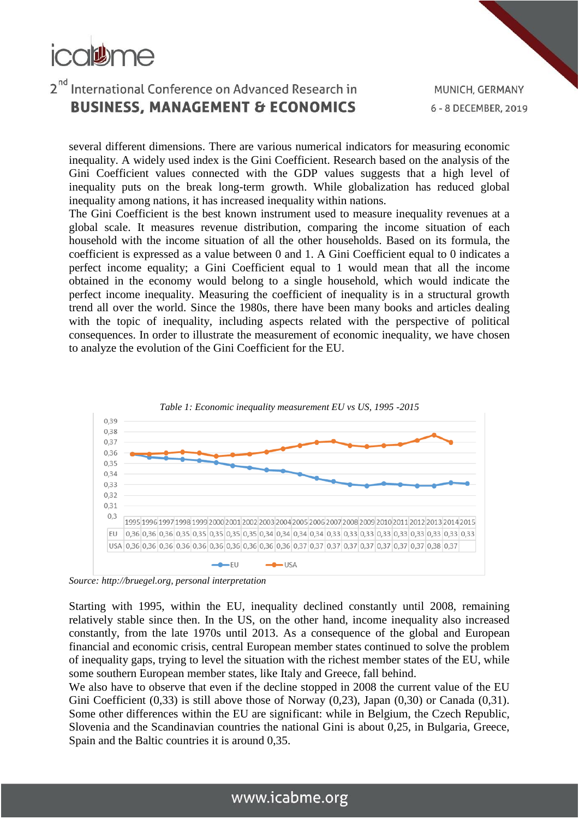

MUNICH, GERMANY 6 - 8 DECEMBER, 2019

several different dimensions. There are various numerical indicators for measuring economic inequality. A widely used index is the Gini Coefficient. Research based on the analysis of the Gini Coefficient values connected with the GDP values suggests that a high level of inequality puts on the break long-term growth. While globalization has reduced global inequality among nations, it has increased inequality within nations.

The Gini Coefficient is the best known instrument used to measure inequality revenues at a global scale. It measures revenue distribution, comparing the income situation of each household with the income situation of all the other households. Based on its formula, the coefficient is expressed as a value between 0 and 1. A Gini Coefficient equal to 0 indicates a perfect income equality; a Gini Coefficient equal to 1 would mean that all the income obtained in the economy would belong to a single household, which would indicate the perfect income inequality. Measuring the coefficient of inequality is in a structural growth trend all over the world. Since the 1980s, there have been many books and articles dealing with the topic of inequality, including aspects related with the perspective of political consequences. In order to illustrate the measurement of economic inequality, we have chosen to analyze the evolution of the Gini Coefficient for the EU.



*Source: http://bruegel.org, personal interpretation*

Starting with 1995, within the EU, inequality declined constantly until 2008, remaining relatively stable since then. In the US, on the other hand, income inequality also increased constantly, from the late 1970s until 2013. As a consequence of the global and European financial and economic crisis, central European member states continued to solve the problem of inequality gaps, trying to level the situation with the richest member states of the EU, while some southern European member states, like Italy and Greece, fall behind.

We also have to observe that even if the decline stopped in 2008 the current value of the EU Gini Coefficient (0,33) is still above those of Norway (0,23), Japan (0,30) or Canada (0,31). Some other differences within the EU are significant: while in Belgium, the Czech Republic, Slovenia and the Scandinavian countries the national Gini is about 0,25, in Bulgaria, Greece, Spain and the Baltic countries it is around 0,35.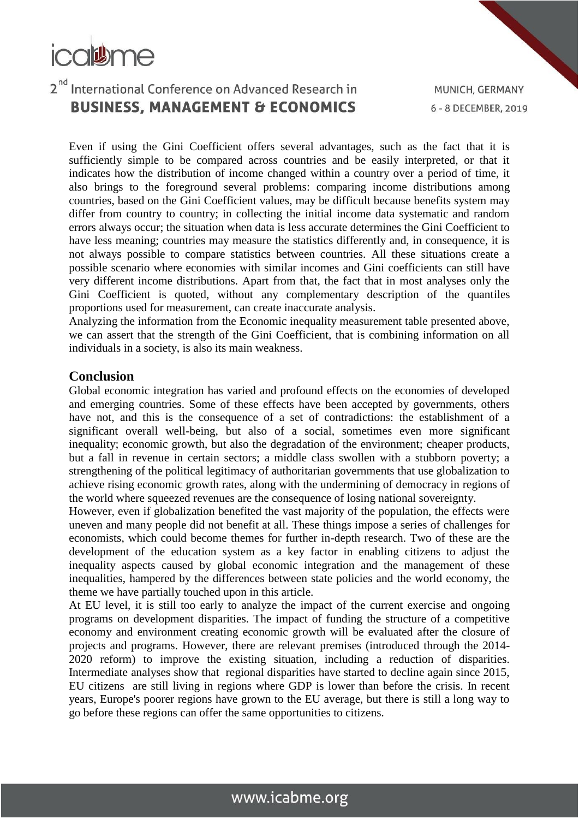

Even if using the Gini Coefficient offers several advantages, such as the fact that it is sufficiently simple to be compared across countries and be easily interpreted, or that it indicates how the distribution of income changed within a country over a period of time, it also brings to the foreground several problems: comparing income distributions among countries, based on the Gini Coefficient values, may be difficult because benefits system may differ from country to country; in collecting the initial income data systematic and random errors always occur; the situation when data is less accurate determines the Gini Coefficient to have less meaning; countries may measure the statistics differently and, in consequence, it is not always possible to compare statistics between countries. All these situations create a possible scenario where economies with similar incomes and Gini coefficients can still have very different income distributions. Apart from that, the fact that in most analyses only the Gini Coefficient is quoted, without any complementary description of the quantiles proportions used for measurement, can create inaccurate analysis.

Analyzing the information from the Economic inequality measurement table presented above, we can assert that the strength of the Gini Coefficient, that is combining information on all individuals in a society, is also its main weakness.

#### **Conclusion**

Global economic integration has varied and profound effects on the economies of developed and emerging countries. Some of these effects have been accepted by governments, others have not, and this is the consequence of a set of contradictions: the establishment of a significant overall well-being, but also of a social, sometimes even more significant inequality; economic growth, but also the degradation of the environment; cheaper products, but a fall in revenue in certain sectors; a middle class swollen with a stubborn poverty; a strengthening of the political legitimacy of authoritarian governments that use globalization to achieve rising economic growth rates, along with the undermining of democracy in regions of the world where squeezed revenues are the consequence of losing national sovereignty.

However, even if globalization benefited the vast majority of the population, the effects were uneven and many people did not benefit at all. These things impose a series of challenges for economists, which could become themes for further in-depth research. Two of these are the development of the education system as a key factor in enabling citizens to adjust the inequality aspects caused by global economic integration and the management of these inequalities, hampered by the differences between state policies and the world economy, the theme we have partially touched upon in this article.

At EU level, it is still too early to analyze the impact of the current exercise and ongoing programs on development disparities. The impact of funding the structure of a competitive economy and environment creating economic growth will be evaluated after the closure of projects and programs. However, there are relevant premises (introduced through the 2014- 2020 reform) to improve the existing situation, including a reduction of disparities. Intermediate analyses show that regional disparities have started to decline again since 2015, EU citizens are still living in regions where GDP is lower than before the crisis. In recent years, Europe's poorer regions have grown to the EU average, but there is still a long way to go before these regions can offer the same opportunities to citizens.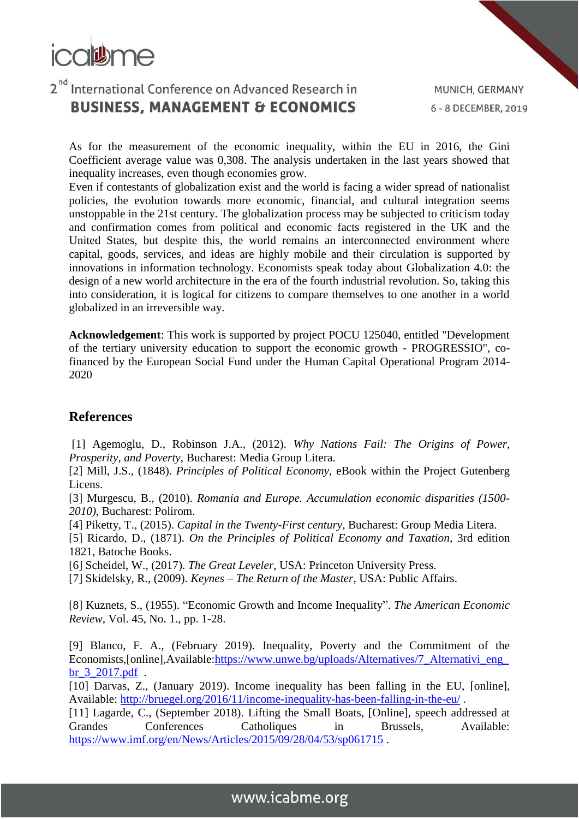

As for the measurement of the economic inequality, within the EU in 2016, the Gini Coefficient average value was 0,308. The analysis undertaken in the last years showed that inequality increases, even though economies grow.

Even if contestants of globalization exist and the world is facing a wider spread of nationalist policies, the evolution towards more economic, financial, and cultural integration seems unstoppable in the 21st century. The globalization process may be subjected to criticism today and confirmation comes from political and economic facts registered in the UK and the United States, but despite this, the world remains an interconnected environment where capital, goods, services, and ideas are highly mobile and their circulation is supported by innovations in information technology. Economists speak today about Globalization 4.0: the design of a new world architecture in the era of the fourth industrial revolution. So, taking this into consideration, it is logical for citizens to compare themselves to one another in a world globalized in an irreversible way.

**Acknowledgement**: This work is supported by project POCU 125040, entitled "Development of the tertiary university education to support the economic growth - PROGRESSIO", cofinanced by the European Social Fund under the Human Capital Operational Program 2014- 2020

#### **References**

[1] Agemoglu, D., Robinson J.A., (2012). *Why Nations Fail: The Origins of Power, Prosperity, and Poverty*, Bucharest: Media Group Litera.

[2] Mill, J.S., (1848). *Principles of Political Economy*, eBook within the Project Gutenberg Licens.

[3] Murgescu, B., (2010). *Romania and Europe. Accumulation economic disparities (1500- 2010)*, Bucharest: Polirom.

[4] Piketty, T., (2015). *Capital in the Twenty-First century*, Bucharest: Group Media Litera.

[5] Ricardo, D., (1871). *On the Principles of Political Economy and Taxation*, 3rd edition 1821, Batoche Books.

[6] Scheidel, W., (2017). *The Great Leveler*, USA: Princeton University Press.

[7] Skidelsky, R., (2009). *Keynes – The Return of the Master*, USA: Public Affairs.

[8] Kuznets, S., (1955). "Economic Growth and Income Inequality". *The American Economic Review*, Vol. 45, No. 1., pp. 1-28.

[9] Blanco, F. A., (February 2019). Inequality, Poverty and the Commitment of the Economists,[online],Available[:https://www.unwe.bg/uploads/Alternatives/7\\_Alternativi\\_eng\\_](https://www.unwe.bg/uploads/Alternatives/7_Alternativi_eng_br_3_2017.pdf) [br\\_3\\_2017.pdf](https://www.unwe.bg/uploads/Alternatives/7_Alternativi_eng_br_3_2017.pdf) .

[10] Darvas, Z., (January 2019). Income inequality has been falling in the EU, [online], Available:<http://bruegel.org/2016/11/income-inequality-has-been-falling-in-the-eu/> .

[11] Lagarde, C., (September 2018). Lifting the Small Boats, [Online], speech addressed at Grandes Conferences Catholiques in Brussels, Available: <https://www.imf.org/en/News/Articles/2015/09/28/04/53/sp061715> .